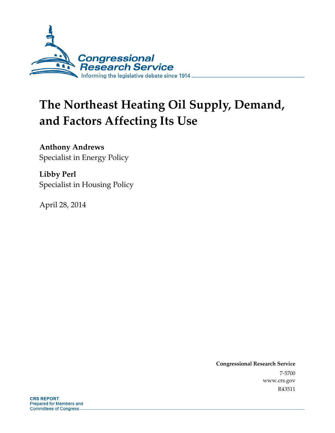

# **The Northeast Heating Oil Supply, Demand, and Factors Affecting Its Use**

**Anthony Andrews**  Specialist in Energy Policy

**Libby Perl**  Specialist in Housing Policy

April 28, 2014

**Congressional Research Service**  7-5700 www.crs.gov R43511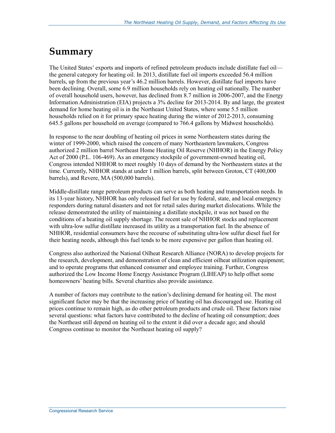## **Summary**

The United States' exports and imports of refined petroleum products include distillate fuel oil the general category for heating oil. In 2013, distillate fuel oil imports exceeded 56.4 million barrels, up from the previous year's 46.2 million barrels. However, distillate fuel imports have been declining. Overall, some 6.9 million households rely on heating oil nationally. The number of overall household users, however, has declined from 8.7 million in 2006-2007, and the Energy Information Administration (EIA) projects a 3% decline for 2013-2014. By and large, the greatest demand for home heating oil is in the Northeast United States, where some 5.5 million households relied on it for primary space heating during the winter of 2012-2013, consuming 645.5 gallons per household on average (compared to 766.4 gallons by Midwest households).

In response to the near doubling of heating oil prices in some Northeastern states during the winter of 1999-2000, which raised the concern of many Northeastern lawmakers, Congress authorized 2 million barrel Northeast Home Heating Oil Reserve (NHHOR) in the Energy Policy Act of 2000 (P.L. 106-469). As an emergency stockpile of government-owned heating oil, Congress intended NHHOR to meet roughly 10 days of demand by the Northeastern states at the time. Currently, NHHOR stands at under 1 million barrels, split between Groton, CT (400,000 barrels), and Revere, MA (500,000 barrels).

Middle-distillate range petroleum products can serve as both heating and transportation needs. In its 13-year history, NHHOR has only released fuel for use by federal, state, and local emergency responders during natural disasters and not for retail sales during market dislocations. While the release demonstrated the utility of maintaining a distillate stockpile, it was not based on the conditions of a heating oil supply shortage. The recent sale of NHHOR stocks and replacement with ultra-low sulfur distillate increased its utility as a transportation fuel. In the absence of NHHOR, residential consumers have the recourse of substituting ultra-low sulfur diesel fuel for their heating needs, although this fuel tends to be more expensive per gallon than heating oil.

Congress also authorized the National Oilheat Research Alliance (NORA) to develop projects for the research, development, and demonstration of clean and efficient oilheat utilization equipment; and to operate programs that enhanced consumer and employee training. Further, Congress authorized the Low Income Home Energy Assistance Program (LIHEAP) to help offset some homeowners' heating bills. Several charities also provide assistance.

A number of factors may contribute to the nation's declining demand for heating oil. The most significant factor may be that the increasing price of heating oil has discouraged use. Heating oil prices continue to remain high, as do other petroleum products and crude oil. These factors raise several questions: what factors have contributed to the decline of heating oil consumption; does the Northeast still depend on heating oil to the extent it did over a decade ago; and should Congress continue to monitor the Northeast heating oil supply?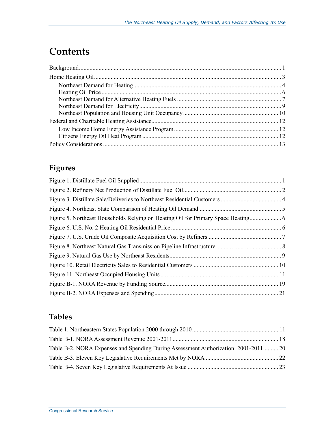## **Contents**

## **Figures**

## **Tables**

| Table B-2. NORA Expenses and Spending During Assessment Authorization 2001-201120 |  |
|-----------------------------------------------------------------------------------|--|
|                                                                                   |  |
|                                                                                   |  |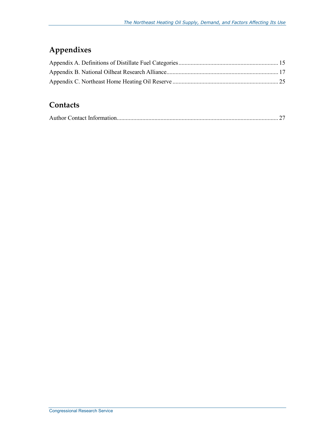## **Appendixes**

## **Contacts**

|--|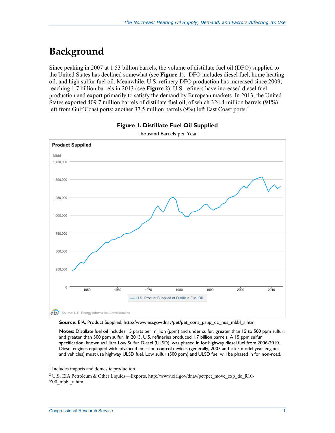## **Background**

Since peaking in 2007 at 1.53 billion barrels, the volume of distillate fuel oil (DFO) supplied to the United States has declined somewhat (see Figure 1).<sup>1</sup> DFO includes diesel fuel, home heating oil, and high sulfur fuel oil. Meanwhile, U.S. refinery DFO production has increased since 2009, reaching 1.7 billion barrels in 2013 (see **Figure 2**). U.S. refiners have increased diesel fuel production and export primarily to satisfy the demand by European markets. In 2013, the United States exported 409.7 million barrels of distillate fuel oil, of which 324.4 million barrels (91%) left from Gulf Coast ports; another 37.5 million barrels (9%) left East Coast ports.<sup>2</sup>





Source: EIA, Product Supplied, http://www.eia.gov/dnav/pet/pet\_cons\_psup\_dc\_nus\_mbbl\_a.htm.

**Notes:** Distillate fuel oil includes 15 parts per million (ppm) and under sulfur; greater than 15 to 500 ppm sulfur; and greater than 500 ppm sulfur. In 2013, U.S. refineries produced 1.7 billion barrels. A 15 ppm sulfur specification, known as Ultra Low Sulfur Diesel (ULSD), was phased in for highway diesel fuel from 2006-2010. Diesel engines equipped with advanced emission control devices (generally, 2007 and later model year engines and vehicles) must use highway ULSD fuel. Low sulfur (500 ppm) and ULSD fuel will be phased in for non-road,

<sup>&</sup>lt;sup>1</sup> Includes imports and domestic production.

<sup>&</sup>lt;sup>2</sup> U.S. EIA Petroleum & Other Liquids—Exports, http://www.eia.gov/dnav/pet/pet\_move\_exp\_dc\_R10-Z00\_mbbl\_a.htm.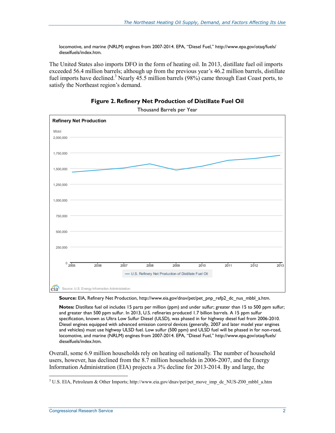locomotive, and marine (NRLM) engines from 2007-2014. EPA, "Diesel Fuel," http://www.epa.gov/otaq/fuels/ dieselfuels/index.htm.

The United States also imports DFO in the form of heating oil. In 2013, distillate fuel oil imports exceeded 56.4 million barrels; although up from the previous year's 46.2 million barrels, distillate fuel imports have declined.<sup>3</sup> Nearly 45.5 million barrels (98%) came through East Coast ports, to satisfy the Northeast region's demand.



**Figure 2. Refinery Net Production of Distillate Fuel Oil** 

Thousand Barrels per Year

**Source:** EIA, Refinery Net Production, http://www.eia.gov/dnav/pet/pet\_pnp\_refp2\_dc\_nus\_mbbl\_a.htm.

**Notes:** Distillate fuel oil includes 15 parts per million (ppm) and under sulfur; greater than 15 to 500 ppm sulfur; and greater than 500 ppm sulfur. In 2013, U.S. refineries produced 1.7 billion barrels. A 15 ppm sulfur specification, known as Ultra Low Sulfur Diesel (ULSD), was phased in for highway diesel fuel from 2006-2010. Diesel engines equipped with advanced emission control devices (generally, 2007 and later model year engines and vehicles) must use highway ULSD fuel. Low sulfur (500 ppm) and ULSD fuel will be phased in for non-road, locomotive, and marine (NRLM) engines from 2007-2014. EPA, "Diesel Fuel," http://www.epa.gov/otaq/fuels/ dieselfuels/index.htm.

Overall, some 6.9 million households rely on heating oil nationally. The number of household users, however, has declined from the 8.7 million households in 2006-2007, and the Energy Information Administration (EIA) projects a 3% decline for 2013-2014. By and large, the

<sup>&</sup>lt;sup>3</sup> U.S. EIA, Petroleum & Other Imports; http://www.eia.gov/dnav/pet/pet\_move\_imp\_dc\_NUS-Z00\_mbbl\_a.htm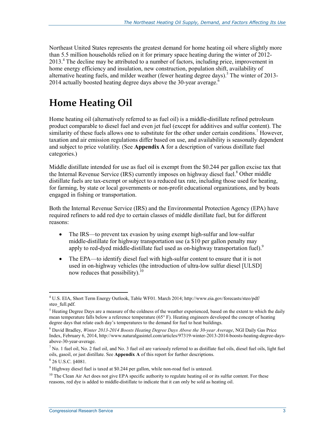Northeast United States represents the greatest demand for home heating oil where slightly more than 5.5 million households relied on it for primary space heating during the winter of 2012- 2013.<sup>4</sup> The decline may be attributed to a number of factors, including price, improvement in home energy efficiency and insulation, new construction, population shift, availability of alternative heating fuels, and milder weather (fewer heating degree days).<sup>5</sup> The winter of 2013-2014 actually boosted heating degree days above the 30-year average. $\frac{6}{3}$ 

## **Home Heating Oil**

Home heating oil (alternatively referred to as fuel oil) is a middle-distillate refined petroleum product comparable to diesel fuel and even jet fuel (except for additives and sulfur content). The similarity of these fuels allows one to substitute for the other under certain conditions.<sup>7</sup> However, taxation and air emission regulations differ based on use, and availability is seasonally dependent and subject to price volatility. (See **Appendix A** for a description of various distillate fuel categories.)

Middle distillate intended for use as fuel oil is exempt from the \$0.244 per gallon excise tax that the Internal Revenue Service (IRS) currently imposes on highway diesel fuel.<sup>8</sup> Other middle distillate fuels are tax-exempt or subject to a reduced tax rate, including those used for heating, for farming, by state or local governments or non-profit educational organizations, and by boats engaged in fishing or transportation.

Both the Internal Revenue Service (IRS) and the Environmental Protection Agency (EPA) have required refiners to add red dye to certain classes of middle distillate fuel, but for different reasons:

- The IRS—to prevent tax evasion by using exempt high-sulfur and low-sulfur middle-distillate for highway transportation use (a \$10 per gallon penalty may apply to red-dyed middle-distillate fuel used as on-highway transportation fuel).<sup>9</sup>
- The EPA—to identify diesel fuel with high-sulfur content to ensure that it is not used in on-highway vehicles (the introduction of ultra-low sulfur diesel [ULSD] now reduces that possibility). $^{10}$

<u>.</u>

<sup>4</sup> U.S. EIA, Short Term Energy Outlook, Table WF01. March 2014; http://www.eia.gov/forecasts/steo/pdf/ steo full.pdf.

 $<sup>5</sup>$  Heating Degree Days are a measure of the coldness of the weather experienced, based on the extent to which the daily</sup> mean temperature falls below a reference temperature (65° F). Heating engineers developed the concept of heating degree days that relate each day's temperatures to the demand for fuel to heat buildings.

<sup>6</sup> David Bradley, *Winter 2013-2014 Boosts Heating Degree Days Above the 30-year Average*, NGI Daily Gas Price Index, February 6, 2014, http://www.naturalgasintel.com/articles/97319-winter-2013-2014-boosts-heating-degree-daysabove-30-year-average.

 $^7$  No. 1 fuel oil, No. 2 fuel oil, and No. 3 fuel oil are variously referred to as distillate fuel oils, diesel fuel oils, light fuel oils, gasoil, or just distillate. See **Appendix A** of this report for further descriptions.

<sup>8</sup> 26 U.S.C. §4081.

<sup>&</sup>lt;sup>9</sup> Highway diesel fuel is taxed at \$0.244 per gallon, while non-road fuel is untaxed.

<sup>&</sup>lt;sup>10</sup> The Clean Air Act does not give EPA specific authority to regulate heating oil or its sulfur content. For these reasons, red dye is added to middle-distillate to indicate that it can only be sold as heating oil.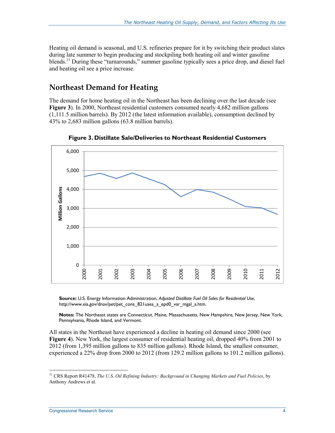Heating oil demand is seasonal, and U.S. refineries prepare for it by switching their product slates during late summer to begin producing and stockpiling both heating oil and winter gasoline blends.<sup>11</sup> During these "turnarounds," summer gasoline typically sees a price drop, and diesel fuel and heating oil see a price increase.

### **Northeast Demand for Heating**

The demand for home heating oil in the Northeast has been declining over the last decade (see **Figure 3**). In 2000, Northeast residential customers consumed nearly 4,682 million gallons (1,111.5 million barrels). By 2012 (the latest information available), consumption declined by 43% to 2,683 million gallons (63.8 million barrels).



**Figure 3. Distillate Sale/Deliveries to Northeast Residential Customers** 

**Source:** U.S. Energy Information Administration, *Adjusted Distillate Fuel Oil Sales for Residential Use*, http://www.eia.gov/dnav/pet/pet\_cons\_821usea\_a\_epd0\_var\_mgal\_a.htm.

**Notes:** The Northeast states are Connecticut, Maine, Massachusetts, New Hampshire, New Jersey, New York, Pennsylvania, Rhode Island, and Vermont.

All states in the Northeast have experienced a decline in heating oil demand since 2000 (see **Figure 4**). New York, the largest consumer of residential heating oil, dropped 40% from 2001 to 2012 (from 1,395 million gallons to 835 million gallons). Rhode Island, the smallest consumer, experienced a 22% drop from 2000 to 2012 (from 129.2 million gallons to 101.2 million gallons).

<sup>11</sup> CRS Report R41478, *The U.S. Oil Refining Industry: Background in Changing Markets and Fuel Policies*, by Anthony Andrews et al.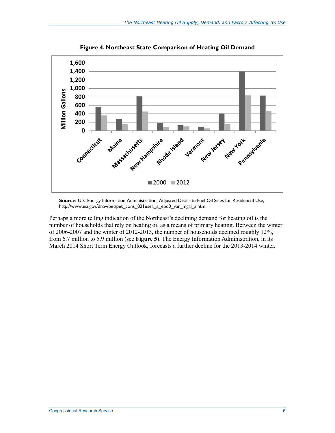

**Figure 4. Northeast State Comparison of Heating Oil Demand** 

**Source:** U.S. Energy Information Administration, Adjusted Distillate Fuel Oil Sales for Residential Use, http://www.eia.gov/dnav/pet/pet\_cons\_821usea\_a\_epd0\_var\_mgal\_a.htm.

Perhaps a more telling indication of the Northeast's declining demand for heating oil is the number of households that rely on heating oil as a means of primary heating. Between the winter of 2006-2007 and the winter of 2012-2013, the number of households declined roughly 12%, from 6.7 million to 5.9 million (see **Figure 5**). The Energy Information Administration, in its March 2014 Short Term Energy Outlook, forecasts a further decline for the 2013-2014 winter.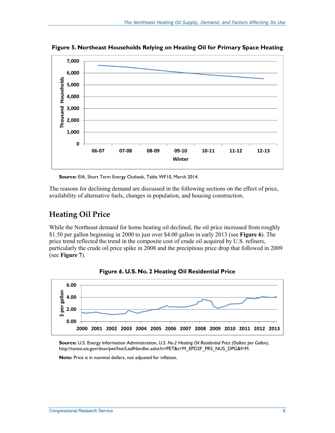

**Figure 5. Northeast Households Relying on Heating Oil for Primary Space Heating** 

**Source:** EIA, Short Term Energy Outlook, Table WF10, March 2014.

The reasons for declining demand are discussed in the following sections on the effect of price, availability of alternative fuels, changes in population, and housing construction.

### **Heating Oil Price**

While the Northeast demand for home heating oil declined, the oil price increased from roughly \$1.50 per gallon beginning in 2000 to just over \$4.00 gallon in early 2013 (see **Figure 6**). The price trend reflected the trend in the composite cost of crude oil acquired by U.S. refiners, particularly the crude oil price spike in 2008 and the precipitous price drop that followed in 2009 (see **Figure 7**).



**Figure 6. U.S. No. 2 Heating Oil Residential Price** 

**Note:** Price is in nominal dollars, not adjusted for inflation.

**Source:** U.S. Energy Information Administration, *U.S. No.2 Heating Oil Residential Price (Dollars per Gallon)*, http://tonto.eia.gov/dnav/pet/hist/LeafHandler.ashx?n=PET&s=M\_EPD2F\_PRS\_NUS\_DPG&f=M.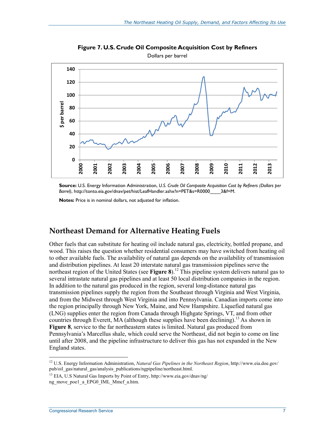

**Figure 7. U.S. Crude Oil Composite Acquisition Cost by Refiners**  Dollars per barrel

**Source:** U.S. Energy Information Administration, *U.S. Crude Oil Composite Acquisition Cost by Refiners (Dollars per Barrel)*, http://tonto.eia.gov/dnav/pet/hist/LeafHandler.ashx?n=PET&s=R0000\_\_\_\_3&f=M.

**Notes:** Price is in nominal dollars, not adjusted for inflation.

### **Northeast Demand for Alternative Heating Fuels**

Other fuels that can substitute for heating oil include natural gas, electricity, bottled propane, and wood. This raises the question whether residential consumers may have switched from heating oil to other available fuels. The availability of natural gas depends on the availability of transmission and distribution pipelines. At least 20 interstate natural gas transmission pipelines serve the northeast region of the United States (see **Figure 8**).<sup>12</sup> This pipeline system delivers natural gas to several intrastate natural gas pipelines and at least 50 local distribution companies in the region. In addition to the natural gas produced in the region, several long-distance natural gas transmission pipelines supply the region from the Southeast through Virginia and West Virginia, and from the Midwest through West Virginia and into Pennsylvania. Canadian imports come into the region principally through New York, Maine, and New Hampshire. Liquefied natural gas (LNG) supplies enter the region from Canada through Highgate Springs, VT, and from other countries through Everett, MA (although these supplies have been declining).<sup>13</sup> As shown in **Figure 8**, service to the far northeastern states is limited. Natural gas produced from Pennsylvania's Marcellus shale, which could serve the Northeast, did not begin to come on line until after 2008, and the pipeline infrastructure to deliver this gas has not expanded in the New England states.

<sup>12</sup> U.S. Energy Information Administration, *Natural Gas Pipelines in the Northeast Region*, http://www.eia.doe.gov/ pub/oil\_gas/natural\_gas/analysis\_publications/ngpipeline/northeast.html.

<sup>13</sup> EIA, U.S Natural Gas Imports by Point of Entry, http://www.eia.gov/dnav/ng/ ng\_move\_poe1\_a\_EPG0\_IML\_Mmcf\_a.htm.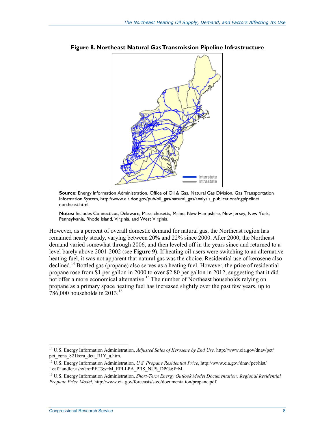

**Figure 8. Northeast Natural Gas Transmission Pipeline Infrastructure** 

**Source:** Energy Information Administration, Office of Oil & Gas, Natural Gas Division, Gas Transportation Information System, http://www.eia.doe.gov/pub/oil\_gas/natural\_gas/analysis\_publications/ngpipeline/ northeast.html.

**Notes:** Includes Connecticut, Delaware, Massachusetts, Maine, New Hampshire, New Jersey, New York, Pennsylvania, Rhode Island, Virginia, and West Virginia.

However, as a percent of overall domestic demand for natural gas, the Northeast region has remained nearly steady, varying between 20% and 22% since 2000. After 2000, the Northeast demand varied somewhat through 2006, and then leveled off in the years since and returned to a level barely above 2001-2002 (see **Figure 9**). If heating oil users were switching to an alternative heating fuel, it was not apparent that natural gas was the choice. Residential use of kerosene also declined.14 Bottled gas (propane) also serves as a heating fuel. However, the price of residential propane rose from \$1 per gallon in 2000 to over \$2.80 per gallon in 2012, suggesting that it did not offer a more economical alternative.<sup>15</sup> The number of Northeast households relying on propane as a primary space heating fuel has increased slightly over the past few years, up to  $786,000$  households in 2013.<sup>16</sup>

<sup>14</sup> U.S. Energy Information Administration, *Adjusted Sales of Kerosene by End Use,* http://www.eia.gov/dnav/pet/ pet cons 821kera dcu R1Y a.htm.

<sup>15</sup> U.S. Energy Information Administration, *U.S .Propane Residential Price*, http://www.eia.gov/dnav/pet/hist/ LeafHandler.ashx?n=PET&s=M\_EPLLPA\_PRS\_NUS\_DPG&f=M.

<sup>16</sup> U.S. Energy Information Administration, *Short*‐*Term Energy Outlook Model Documentation: Regional Residential Propane Price Model,* http://www.eia.gov/forecasts/steo/documentation/propane.pdf.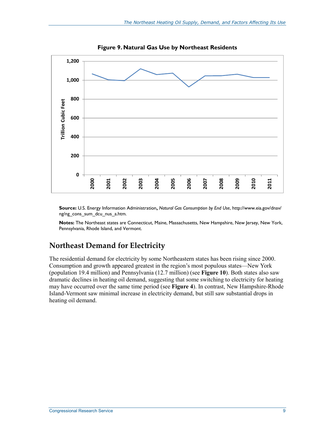

**Figure 9. Natural Gas Use by Northeast Residents** 

**Source:** U.S. Energy Information Administration**,** *Natural Gas Consumption by End Use*, http://www.eia.gov/dnav/ ng/ng\_cons\_sum\_dcu\_nus\_a.htm.

**Notes:** The Northeast states are Connecticut, Maine, Massachusetts, New Hampshire, New Jersey, New York, Pennsylvania, Rhode Island, and Vermont.

### **Northeast Demand for Electricity**

The residential demand for electricity by some Northeastern states has been rising since 2000. Consumption and growth appeared greatest in the region's most populous states—New York (population 19.4 million) and Pennsylvania (12.7 million) (see **Figure 10**). Both states also saw dramatic declines in heating oil demand, suggesting that some switching to electricity for heating may have occurred over the same time period (see **Figure 4**). In contrast, New Hampshire-Rhode Island-Vermont saw minimal increase in electricity demand, but still saw substantial drops in heating oil demand.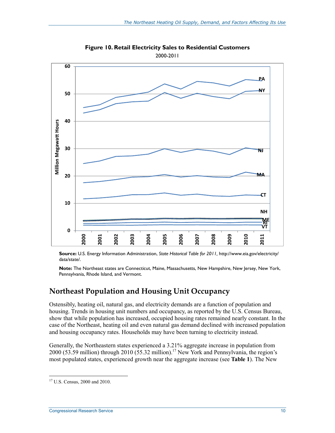

**Figure 10. Retail Electricity Sales to Residential Customers**  2000-2011

**Source:** U.S. Energy Information Administration, *State Historical Table for 2011,* http://www.eia.gov/electricity/ data/state/.

**Note:** The Northeast states are Connecticut, Maine, Massachusetts, New Hampshire, New Jersey, New York, Pennsylvania, Rhode Island, and Vermont.

### **Northeast Population and Housing Unit Occupancy**

Ostensibly, heating oil, natural gas, and electricity demands are a function of population and housing. Trends in housing unit numbers and occupancy, as reported by the U.S. Census Bureau, show that while population has increased, occupied housing rates remained nearly constant. In the case of the Northeast, heating oil and even natural gas demand declined with increased population and housing occupancy rates. Households may have been turning to electricity instead.

Generally, the Northeastern states experienced a 3.21% aggregate increase in population from 2000 (53.59 million) through 2010 (55.32 million).<sup>17</sup> New York and Pennsylvania, the region's most populated states, experienced growth near the aggregate increase (see **Table 1**). The New

<u>.</u>

<sup>17</sup> U.S. Census, 2000 and 2010.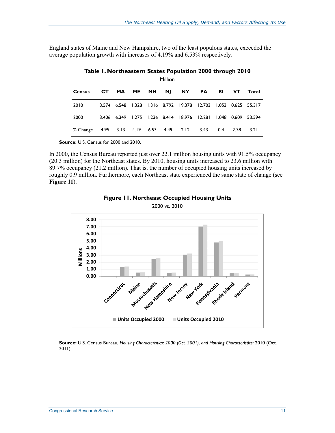England states of Maine and New Hampshire, two of the least populous states, exceeded the average population growth with increases of 4.19% and 6.53% respectively.

|          |                               |          | Million   |                                                                |           |           |      |                      |
|----------|-------------------------------|----------|-----------|----------------------------------------------------------------|-----------|-----------|------|----------------------|
| Census   | CT.                           | MA ME NH | <b>NJ</b> | <b>NY</b>                                                      | <b>PA</b> | <b>RI</b> | VT.  | Total                |
| 2010     |                               |          |           | 3.574 6.548 1.328 1.316 8.792 19.378 12.703 1.053 0.625 55.317 |           |           |      |                      |
| 2000     |                               |          |           | 3.406 6.349 1.275 1.236 8.414 18.976 12.281                    |           |           |      | 1.048  0.609  53.594 |
| % Change | 4.95 3.13 4.19 6.53 4.49 2.12 |          |           |                                                                | 3.43      | 0.4       | 2.78 | 3.21                 |

**Table 1. Northeastern States Population 2000 through 2010** 

**Source:** U.S. Census for 2000 and 2010.

In 2000, the Census Bureau reported just over 22.1 million housing units with 91.5% occupancy (20.3 million) for the Northeast states. By 2010, housing units increased to 23.6 million with 89.7% occupancy (21.2 million). That is, the number of occupied housing units increased by roughly 0.9 million. Furthermore, each Northeast state experienced the same state of change (see **Figure 11**).





**Source:** U.S. Census Bureau, *Housing Characteristics: 2000 (Oct. 2001), and Housing Characteristics*: 2010 (Oct. 2011).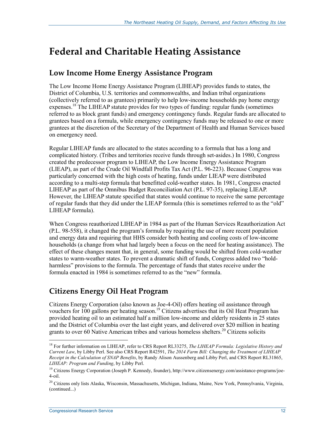## **Federal and Charitable Heating Assistance**

### **Low Income Home Energy Assistance Program**

The Low Income Home Energy Assistance Program (LIHEAP) provides funds to states, the District of Columbia, U.S. territories and commonwealths, and Indian tribal organizations (collectively referred to as grantees) primarily to help low-income households pay home energy expenses.<sup>18</sup> The LIHEAP statute provides for two types of funding: regular funds (sometimes referred to as block grant funds) and emergency contingency funds. Regular funds are allocated to grantees based on a formula, while emergency contingency funds may be released to one or more grantees at the discretion of the Secretary of the Department of Health and Human Services based on emergency need.

Regular LIHEAP funds are allocated to the states according to a formula that has a long and complicated history. (Tribes and territories receive funds through set-asides.) In 1980, Congress created the predecessor program to LIHEAP, the Low Income Energy Assistance Program (LIEAP), as part of the Crude Oil Windfall Profits Tax Act (P.L. 96-223). Because Congress was particularly concerned with the high costs of heating, funds under LIEAP were distributed according to a multi-step formula that benefitted cold-weather states. In 1981, Congress enacted LIHEAP as part of the Omnibus Budget Reconciliation Act (P.L. 97-35), replacing LIEAP. However, the LIHEAP statute specified that states would continue to receive the same percentage of regular funds that they did under the LIEAP formula (this is sometimes referred to as the "old" LIHEAP formula).

When Congress reauthorized LIHEAP in 1984 as part of the Human Services Reauthorization Act (P.L. 98-558), it changed the program's formula by requiring the use of more recent population and energy data and requiring that HHS consider both heating and cooling costs of low-income households (a change from what had largely been a focus on the need for heating assistance). The effect of these changes meant that, in general, some funding would be shifted from cold-weather states to warm-weather states. To prevent a dramatic shift of funds, Congress added two "holdharmless" provisions to the formula. The percentage of funds that states receive under the formula enacted in 1984 is sometimes referred to as the "new" formula.

## **Citizens Energy Oil Heat Program**

Citizens Energy Corporation (also known as Joe-4-Oil) offers heating oil assistance through vouchers for 100 gallons per heating season.<sup>19</sup> Citizens advertises that its Oil Heat Program has provided heating oil to an estimated half a million low-income and elderly residents in 25 states and the District of Columbia over the last eight years, and delivered over \$20 million in heating grants to over 60 Native American tribes and various homeless shelters.<sup>20</sup> Citizens solicits

<sup>18</sup> For further information on LIHEAP, refer to CRS Report RL33275, *The LIHEAP Formula: Legislative History and Current Law*, by Libby Perl. See also CRS Report R42591, *The 2014 Farm Bill: Changing the Treatment of LIHEAP Receipt in the Calculation of SNAP Benefits*, by Randy Alison Aussenberg and Libby Perl, and CRS Report RL31865, *LIHEAP: Program and Funding*, by Libby Perl.

<sup>&</sup>lt;sup>19</sup> Citizens Energy Corporation (Joseph P. Kennedy, founder), http://www.citizensenergy.com/assistance-programs/joe-4-oil.

<sup>&</sup>lt;sup>20</sup> Citizens only lists Alaska, Wisconsin, Massachusetts, Michigan, Indiana, Maine, New York, Pennsylvania, Virginia, (continued...)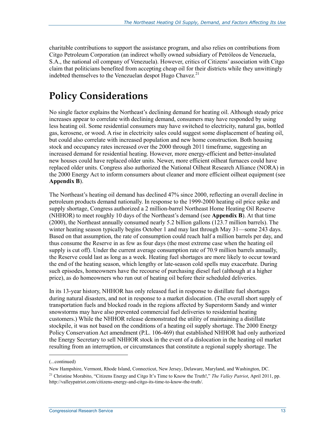charitable contributions to support the assistance program, and also relies on contributions from Citgo Petroleum Corporation (an indirect wholly owned subsidiary of Petróleos de Venezuela, S.A., the national oil company of Venezuela). However, critics of Citizens' association with Citgo claim that politicians benefited from accepting cheap oil for their districts while they unwittingly indebted themselves to the Venezuelan despot Hugo Chavez.<sup>21</sup>

## **Policy Considerations**

No single factor explains the Northeast's declining demand for heating oil. Although steady price increases appear to correlate with declining demand, consumers may have responded by using less heating oil. Some residential consumers may have switched to electricity, natural gas, bottled gas, kerosene, or wood. A rise in electricity sales could suggest some displacement of heating oil, but could also correlate with increased population and new home construction. Both housing stock and occupancy rates increased over the 2000 through 2011 timeframe, suggesting an increased demand for residential heating. However, more energy-efficient and better-insulated new houses could have replaced older units. Newer, more efficient oilheat furnaces could have replaced older units. Congress also authorized the National Oilheat Research Alliance (NORA) in the 2000 Energy Act to inform consumers about cleaner and more efficient oilheat equipment (see **Appendix B**).

The Northeast's heating oil demand has declined 47% since 2000, reflecting an overall decline in petroleum products demand nationally. In response to the 1999-2000 heating oil price spike and supply shortage, Congress authorized a 2 million-barrel Northeast Home Heating Oil Reserve (NHHOR) to meet roughly 10 days of the Northeast's demand (see **Appendix B**). At that time (2000), the Northeast annually consumed nearly 5.2 billion gallons (123.7 million barrels). The winter heating season typically begins October 1 and may last through May 31—some 243 days. Based on that assumption, the rate of consumption could reach half a million barrels per day, and thus consume the Reserve in as few as four days (the most extreme case when the heating oil supply is cut off). Under the current average consumption rate of 70.9 million barrels annually, the Reserve could last as long as a week. Heating fuel shortages are more likely to occur toward the end of the heating season, which lengthy or late-season cold spells may exacerbate. During such episodes, homeowners have the recourse of purchasing diesel fuel (although at a higher price), as do homeowners who run out of heating oil before their scheduled deliveries.

In its 13-year history, NHHOR has only released fuel in response to distillate fuel shortages during natural disasters, and not in response to a market dislocation. (The overall short supply of transportation fuels and blocked roads in the regions affected by Superstorm Sandy and winter snowstorms may have also prevented commercial fuel deliveries to residential heating customers.) While the NHHOR release demonstrated the utility of maintaining a distillate stockpile, it was not based on the conditions of a heating oil supply shortage. The 2000 Energy Policy Conservation Act amendment (P.L. 106-469) that established NHHOR had only authorized the Energy Secretary to sell NHHOR stock in the event of a dislocation in the heating oil market resulting from an interruption, or circumstances that constitute a regional supply shortage. The

<sup>(...</sup>continued)

New Hampshire, Vermont, Rhode Island, Connecticut, New Jersey, Delaware, Maryland, and Washington, DC. 21 Christine Morabito, "Citizens Energy and Citgo It's Time to Know the Truth!," *The Valley Patriot*, April 2011, pp. http://valleypatriot.com/citizens-energy-and-citgo-its-time-to-know-the-truth/.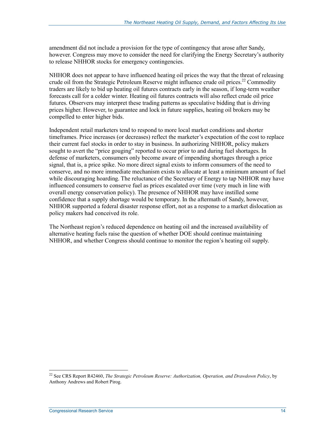amendment did not include a provision for the type of contingency that arose after Sandy, however. Congress may move to consider the need for clarifying the Energy Secretary's authority to release NHHOR stocks for emergency contingencies.

NHHOR does not appear to have influenced heating oil prices the way that the threat of releasing crude oil from the Strategic Petroleum Reserve might influence crude oil prices.<sup>22</sup> Commodity traders are likely to bid up heating oil futures contracts early in the season, if long-term weather forecasts call for a colder winter. Heating oil futures contracts will also reflect crude oil price futures. Observers may interpret these trading patterns as speculative bidding that is driving prices higher. However, to guarantee and lock in future supplies, heating oil brokers may be compelled to enter higher bids.

Independent retail marketers tend to respond to more local market conditions and shorter timeframes. Price increases (or decreases) reflect the marketer's expectation of the cost to replace their current fuel stocks in order to stay in business. In authorizing NHHOR, policy makers sought to avert the "price gouging" reported to occur prior to and during fuel shortages. In defense of marketers, consumers only become aware of impending shortages through a price signal, that is, a price spike. No more direct signal exists to inform consumers of the need to conserve, and no more immediate mechanism exists to allocate at least a minimum amount of fuel while discouraging hoarding. The reluctance of the Secretary of Energy to tap NHHOR may have influenced consumers to conserve fuel as prices escalated over time (very much in line with overall energy conservation policy). The presence of NHHOR may have instilled some confidence that a supply shortage would be temporary. In the aftermath of Sandy, however, NHHOR supported a federal disaster response effort, not as a response to a market dislocation as policy makers had conceived its role.

The Northeast region's reduced dependence on heating oil and the increased availability of alternative heating fuels raise the question of whether DOE should continue maintaining NHHOR, and whether Congress should continue to monitor the region's heating oil supply.

<sup>22</sup> See CRS Report R42460, *The Strategic Petroleum Reserve: Authorization, Operation, and Drawdown Policy*, by Anthony Andrews and Robert Pirog.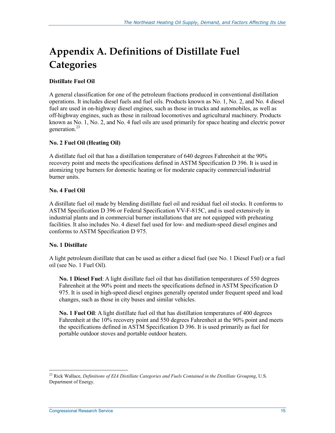## **Appendix A. Definitions of Distillate Fuel Categories**

#### **Distillate Fuel Oil**

A general classification for one of the petroleum fractions produced in conventional distillation operations. It includes diesel fuels and fuel oils. Products known as No. 1, No. 2, and No. 4 diesel fuel are used in on-highway diesel engines, such as those in trucks and automobiles, as well as off-highway engines, such as those in railroad locomotives and agricultural machinery. Products known as No. 1, No. 2, and No. 4 fuel oils are used primarily for space heating and electric power generation.<sup>23</sup>

#### **No. 2 Fuel Oil (Heating Oil)**

A distillate fuel oil that has a distillation temperature of 640 degrees Fahrenheit at the 90% recovery point and meets the specifications defined in ASTM Specification D 396. It is used in atomizing type burners for domestic heating or for moderate capacity commercial/industrial burner units.

#### **No. 4 Fuel Oil**

A distillate fuel oil made by blending distillate fuel oil and residual fuel oil stocks. It conforms to ASTM Specification D 396 or Federal Specification VV-F-815C, and is used extensively in industrial plants and in commercial burner installations that are not equipped with preheating facilities. It also includes No. 4 diesel fuel used for low- and medium-speed diesel engines and conforms to ASTM Specification D 975.

#### **No. 1 Distillate**

A light petroleum distillate that can be used as either a diesel fuel (see No. 1 Diesel Fuel) or a fuel oil (see No. 1 Fuel Oil).

**No. 1 Diesel Fuel**: A light distillate fuel oil that has distillation temperatures of 550 degrees Fahrenheit at the 90% point and meets the specifications defined in ASTM Specification D 975. It is used in high-speed diesel engines generally operated under frequent speed and load changes, such as those in city buses and similar vehicles.

**No. 1 Fuel Oil**: A light distillate fuel oil that has distillation temperatures of 400 degrees Fahrenheit at the 10% recovery point and 550 degrees Fahrenheit at the 90% point and meets the specifications defined in ASTM Specification D 396. It is used primarily as fuel for portable outdoor stoves and portable outdoor heaters.

<sup>1</sup> 23 Rick Wallace, *Definitions of EIA Distillate Categories and Fuels Contained in the Distillate Grouping*, U.S. Department of Energy.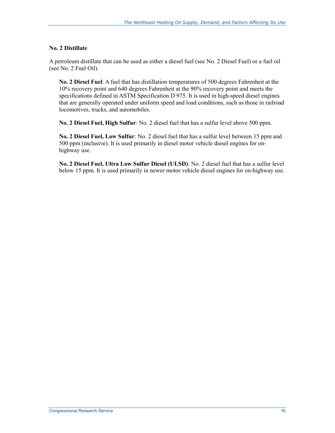#### **No. 2 Distillate**

A petroleum distillate that can be used as either a diesel fuel (see No. 2 Diesel Fuel) or a fuel oil (see No. 2 Fuel Oil).

**No. 2 Diesel Fuel**: A fuel that has distillation temperatures of 500 degrees Fahrenheit at the 10% recovery point and 640 degrees Fahrenheit at the 90% recovery point and meets the specifications defined in ASTM Specification D 975. It is used in high-speed diesel engines that are generally operated under uniform speed and load conditions, such as those in railroad locomotives, trucks, and automobiles.

**No. 2 Diesel Fuel, High Sulfur**: No. 2 diesel fuel that has a sulfur level above 500 ppm.

**No. 2 Diesel Fuel, Low Sulfur**: No. 2 diesel fuel that has a sulfur level between 15 ppm and 500 ppm (inclusive). It is used primarily in diesel motor vehicle diesel engines for onhighway use.

**No. 2 Diesel Fuel, Ultra Low Sulfur Diesel (ULSD)**: No. 2 diesel fuel that has a sulfur level below 15 ppm. It is used primarily in newer motor vehicle diesel engines for on-highway use.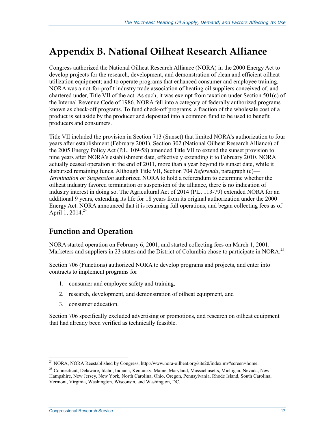## **Appendix B. National Oilheat Research Alliance**

Congress authorized the National Oilheat Research Alliance (NORA) in the 2000 Energy Act to develop projects for the research, development, and demonstration of clean and efficient oilheat utilization equipment; and to operate programs that enhanced consumer and employee training. NORA was a not-for-profit industry trade association of heating oil suppliers conceived of, and chartered under, Title VII of the act. As such, it was exempt from taxation under Section 501(c) of the Internal Revenue Code of 1986. NORA fell into a category of federally authorized programs known as check-off programs. To fund check-off programs, a fraction of the wholesale cost of a product is set aside by the producer and deposited into a common fund to be used to benefit producers and consumers.

Title VII included the provision in Section 713 (Sunset) that limited NORA's authorization to four years after establishment (February 2001). Section 302 (National Oilheat Research Alliance) of the 2005 Energy Policy Act (P.L. 109-58) amended Title VII to extend the sunset provision to nine years after NORA's establishment date, effectively extending it to February 2010. NORA actually ceased operation at the end of 2011, more than a year beyond its sunset date, while it disbursed remaining funds. Although Title VII, Section 704 *Referenda*, paragraph (c)— *Termination or Suspension* authorized NORA to hold a referendum to determine whether the oilheat industry favored termination or suspension of the alliance, there is no indication of industry interest in doing so. The Agricultural Act of 2014 (P.L. 113-79) extended NORA for an additional 9 years, extending its life for 18 years from its original authorization under the 2000 Energy Act. NORA announced that it is resuming full operations, and began collecting fees as of April 1, 2014.<sup>24</sup>

## **Function and Operation**

NORA started operation on February 6, 2001, and started collecting fees on March 1, 2001. Marketers and suppliers in 23 states and the District of Columbia chose to participate in NORA.<sup>25</sup>

Section 706 (Functions) authorized NORA to develop programs and projects, and enter into contracts to implement programs for

- 1. consumer and employee safety and training,
- 2. research, development, and demonstration of oilheat equipment, and
- 3. consumer education.

Section 706 specifically excluded advertising or promotions, and research on oilheat equipment that had already been verified as technically feasible.

<sup>&</sup>lt;sup>24</sup> NORA, NORA Reestablished by Congress, http://www.nora-oilheat.org/site20/index.mv?screen=home.

<sup>&</sup>lt;sup>25</sup> Connecticut, Delaware, Idaho, Indiana, Kentucky, Maine, Maryland, Massachusetts, Michigan, Nevada, New Hampshire, New Jersey, New York, North Carolina, Ohio, Oregon, Pennsylvania, Rhode Island, South Carolina, Vermont, Virginia, Washington, Wisconsin, and Washington, DC.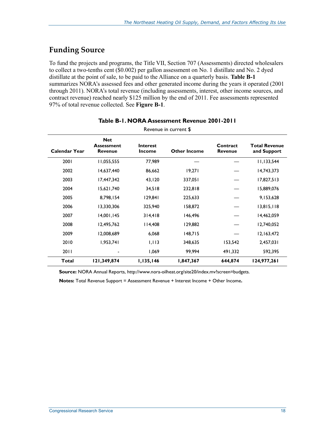### **Funding Source**

To fund the projects and programs, the Title VII, Section 707 (Assessments) directed wholesalers to collect a two-tenths cent (\$0.002) per gallon assessment on No. 1 distillate and No. 2 dyed distillate at the point of sale, to be paid to the Alliance on a quarterly basis. **Table B-1** summarizes NORA's assessed fees and other generated income during the years it operated (2001 through 2011). NORA's total revenue (including assessments, interest, other income sources, and contract revenue) reached nearly \$125 million by the end of 2011. Fee assessments represented 97% of total revenue collected. See **Figure B-1**.

| Revenue in current \$ |                                                   |                                  |                     |                            |                                     |
|-----------------------|---------------------------------------------------|----------------------------------|---------------------|----------------------------|-------------------------------------|
| <b>Calendar Year</b>  | <b>Net</b><br><b>Assessment</b><br><b>Revenue</b> | <b>Interest</b><br><b>Income</b> | <b>Other Income</b> | Contract<br><b>Revenue</b> | <b>Total Revenue</b><br>and Support |
| 2001                  | 11,055,555                                        | 77,989                           |                     |                            | 11,133,544                          |
| 2002                  | 14,637,440                                        | 86,662                           | 19,271              |                            | 14,743,373                          |
| 2003                  | 17,447,342                                        | 43,120                           | 337,051             |                            | 17,827,513                          |
| 2004                  | 15,621,740                                        | 34,518                           | 232,818             |                            | 15,889,076                          |
| 2005                  | 8,798,154                                         | 129,841                          | 225,633             |                            | 9,153,628                           |
| 2006                  | 13,330,306                                        | 325,940                          | 158,872             |                            | 13,815,118                          |
| 2007                  | 14,001,145                                        | 314,418                          | 146,496             |                            | 14,462,059                          |
| 2008                  | 12,495,762                                        | 14,408                           | 129,882             |                            | 12,740,052                          |
| 2009                  | 12,008,689                                        | 6,068                            | 148,715             |                            | 12,163,472                          |
| 2010                  | 1,953,741                                         | 1,113                            | 348,635             | 153,542                    | 2,457,031                           |
| 2011                  |                                                   | 1,069                            | 99,994              | 491,332                    | 592,395                             |
| <b>Total</b>          | 121,349,874                                       | 1,135,146                        | 1,847,367           | 644,874                    | 124,977,261                         |

#### **Table B-1. NORA Assessment Revenue 2001-2011**

**Source:** NORA Annual Reports, http://www.nora-oilheat.org/site20/index.mv?screen=budgets.

**Notes:** Total Revenue Support = Assessment Revenue + Interest Income + Other Income**.**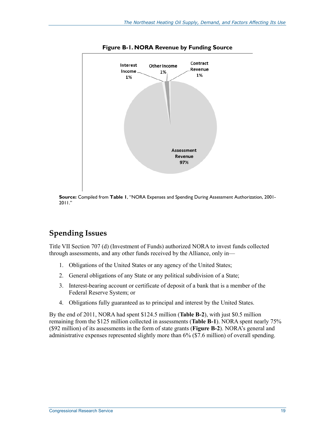

**Figure B-1. NORA Revenue by Funding Source** 

**Source:** Compiled from **Table 1**, "NORA Expenses and Spending During Assessment Authorization, 2001- 2011."

## **Spending Issues**

Title VII Section 707 (d) (Investment of Funds) authorized NORA to invest funds collected through assessments, and any other funds received by the Alliance, only in—

- 1. Obligations of the United States or any agency of the United States;
- 2. General obligations of any State or any political subdivision of a State;
- 3. Interest-bearing account or certificate of deposit of a bank that is a member of the Federal Reserve System; or
- 4. Obligations fully guaranteed as to principal and interest by the United States.

By the end of 2011, NORA had spent \$124.5 million (**Table B-2**), with just \$0.5 million remaining from the \$125 million collected in assessments (**Table B-1**). NORA spent nearly 75% (\$92 million) of its assessments in the form of state grants (**Figure B-2**). NORA's general and administrative expenses represented slightly more than 6% (\$7.6 million) of overall spending.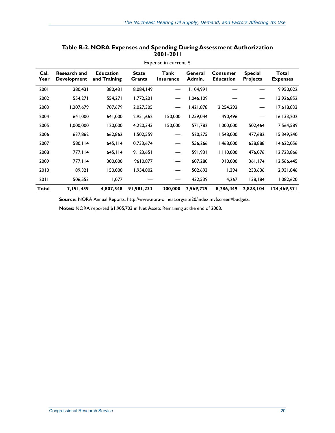|              | Expense in current \$                     |                                  |                        |                          |                   |                                     |                                   |                                 |
|--------------|-------------------------------------------|----------------------------------|------------------------|--------------------------|-------------------|-------------------------------------|-----------------------------------|---------------------------------|
| Cal.<br>Year | <b>Research and</b><br><b>Development</b> | <b>Education</b><br>and Training | <b>State</b><br>Grants | Tank<br><b>Insurance</b> | General<br>Admin. | <b>Consumer</b><br><b>Education</b> | <b>Special</b><br><b>Projects</b> | <b>Total</b><br><b>Expenses</b> |
| 2001         | 380,431                                   | 380,431                          | 8,084,149              |                          | 1,104,991         |                                     |                                   | 9,950,022                       |
| 2002         | 554,271                                   | 554,271                          | 11,772,201             |                          | 1,046.109         |                                     |                                   | 13,926,852                      |
| 2003         | 1,207,679                                 | 707,679                          | 12,027,305             |                          | 1,421,878         | 2,254,292                           |                                   | 17,618,833                      |
| 2004         | 641,000                                   | 641,000                          | 12,951,662             | 150,000                  | 1,259,044         | 490,496                             |                                   | 16,133,202                      |
| 2005         | 1,000,000                                 | 120,000                          | 4,220,343              | 150,000                  | 571,782           | 1,000,000                           | 502,464                           | 7,564,589                       |
| 2006         | 637,862                                   | 662,862                          | 11,502,559             |                          | 520,275           | 1,548,000                           | 477,682                           | 15,349,240                      |
| 2007         | 580,114                                   | 645,114                          | 10,733,674             |                          | 556,266           | 1,468,000                           | 638,888                           | 14,622,056                      |
| 2008         | 777,114                                   | 645,114                          | 9,123,651              |                          | 591,931           | 1,110,000                           | 476,076                           | 12,723,866                      |
| 2009         | 777,114                                   | 300,000                          | 9610,877               |                          | 607,280           | 910,000                             | 361,174                           | 12,566,445                      |
| 2010         | 89,321                                    | 150,000                          | 1,954,802              |                          | 502,693           | 1,394                               | 233,636                           | 2,931,846                       |
| 2011         | 506,553                                   | 1,077                            |                        |                          | 432,539           | 4,267                               | 138,184                           | 1,082,620                       |
| Total        | 7,151,459                                 | 4,807,548                        | 91,981,233             | 300,000                  | 7,569,725         | 8,786,449                           | 2,828,104                         | 124,469,571                     |

#### **Table B-2. NORA Expenses and Spending During Assessment Authorization 2001-2011**

**Source:** NORA Annual Reports, http://www.nora-oilheat.org/site20/index.mv?screen=budgets.

**Notes:** NORA reported \$1,905,703 in Net Assets Remaining at the end of 2008.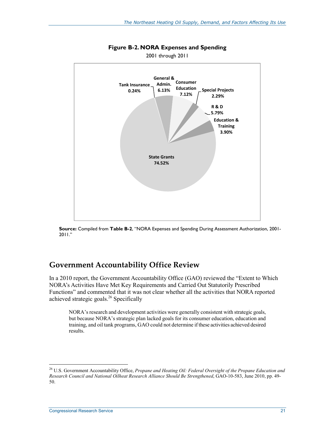

**Figure B-2. NORA Expenses and Spending** 

2001 through 2011

**Source:** Compiled from **Table B-2**, "NORA Expenses and Spending During Assessment Authorization, 2001- 2011."

### **Government Accountability Office Review**

In a 2010 report, the Government Accountability Office (GAO) reviewed the "Extent to Which NORA's Activities Have Met Key Requirements and Carried Out Statutorily Prescribed Functions" and commented that it was not clear whether all the activities that NORA reported achieved strategic goals. $^{26}$  Specifically

NORA's research and development activities were generally consistent with strategic goals, but because NORA's strategic plan lacked goals for its consumer education, education and training, and oil tank programs, GAO could not determine if these activities achieved desired results.

<sup>26</sup> U.S. Government Accountability Office, *Propane and Heating Oil: Federal Oversight of the Propane Education and Research Council and National Oilheat Research Alliance Should Be Strengthened*, GAO-10-583, June 2010, pp. 49- 50.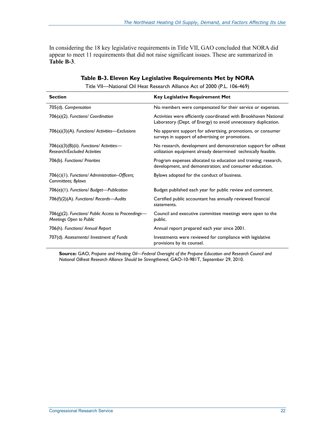In considering the 18 key legislative requirements in Title VII, GAO concluded that NORA did appear to meet 11 requirements that did not raise significant issues. These are summarized in **Table B-3**.

| <b>Section</b>                                                                  | <b>Key Legislative Requirement Met</b>                                                                                             |
|---------------------------------------------------------------------------------|------------------------------------------------------------------------------------------------------------------------------------|
| 705(d). Compensation                                                            | No members were compensated for their service or expenses.                                                                         |
| 706(a)(2). Functions/ Coordination                                              | Activities were efficiently coordinated with Brookhaven National<br>Laboratory (Dept. of Energy) to avoid unnecessary duplication. |
| $706(a)(3)(A)$ . Functions/ Activities—Exclusions                               | No apparent support for advertising, promotions, or consumer<br>surveys in support of advertising or promotions.                   |
| 706(a)(3)(B)(ii). Functions/ Activities-<br><b>Research/Excluded Activities</b> | No research, development and demonstration support for oilheat<br>utilization equipment already determined technically feasible.   |
| 706(b). Functions/ Priorities                                                   | Program expenses allocated to education and training; research,<br>development, and demonstration; and consumer education.         |
| 706(c)(1). Functions/ Administration-Officers;<br>Committees; Bylaws            | Bylaws adopted for the conduct of business.                                                                                        |
| 706(e)(1). Functions/ Budget-Publication                                        | Budget published each year for public review and comment.                                                                          |
| 706(f)(2)(A). Functions/ Records-Audits                                         | Certified public accountant has annually reviewed financial<br>statements.                                                         |
| 706(g)(2). Functions/ Public Access to Proceedings-<br>Meetings Open to Public  | Council and executive committee meetings were open to the<br>public.                                                               |
| 706(h). Functions/ Annual Report                                                | Annual report prepared each year since 2001.                                                                                       |
| 707(d). Assessments/ Investment of Funds                                        | Investments were reviewed for compliance with legislative<br>provisions by its counsel.                                            |

#### **Table B-3. Eleven Key Legislative Requirements Met by NORA**

Title VII—National Oil Heat Research Alliance Act of 2000 (P.L. 106-469)

**Source:** GAO, *Propane and Heating Oil—Federal Oversight of the Propane Education and Research Council and National Oilheat Research Alliance Should be Strengthened*, GAO-10-981T, September 29, 2010.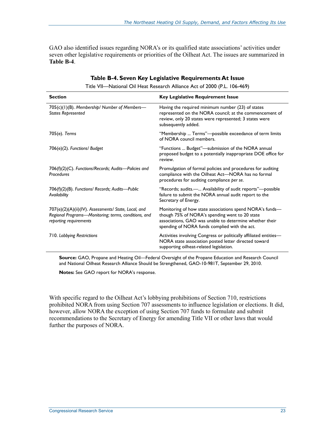GAO also identified issues regarding NORA's or its qualified state associations' activities under seven other legislative requirements or priorities of the Oilheat Act. The issues are summarized in **Table B-4**.

| <b>Section</b>                                                                                                                         | <b>Key Legislative Requirement Issue</b>                                                                                                                                                                               |
|----------------------------------------------------------------------------------------------------------------------------------------|------------------------------------------------------------------------------------------------------------------------------------------------------------------------------------------------------------------------|
| 705(c)(1)(B). Membership/ Number of Members-<br><b>States Represented</b>                                                              | Having the required minimum number (23) of states<br>represented on the NORA council; at the commencement of<br>review, only 20 states were represented; 3 states were<br>subsequently added.                          |
| 705(e). Terms                                                                                                                          | "Membership  Terms"—possible exceedance of term limits<br>of NORA council members.                                                                                                                                     |
| 706(e)(2). Functions/ Budget                                                                                                           | "Functions  Budget"—submission of the NORA annual<br>proposed budget to a potentially inappropriate DOE office for<br>review.                                                                                          |
| 706(f)(2)(C). Functions/Records; Audits-Policies and<br>Procedures                                                                     | Promulgation of formal policies and procedures for auditing<br>compliance with the Oilheat Act-NORA has no formal<br>procedures for auditing compliance per se.                                                        |
| 706(f)(2)(B). Functions/ Records; Audits-Public<br>Availability                                                                        | "Records; audits.- Availability of audit reports"-possible<br>failure to submit the NORA annual audit report to the<br>Secretary of Energy.                                                                            |
| 707(e)(2)(A)(ii)(IV). Assessments/ State, Local, and<br>Regional Programs-Monitoring; terms, conditions, and<br>reporting requirements | Monitoring of how state associations spend NORA's funds-<br>though 75% of NORA's spending went to 20 state<br>associations, GAO was unable to determine whether their<br>spending of NORA funds complied with the act. |
| 710. Lobbying Restrictions                                                                                                             | Activities involving Congress or politically affiliated entities-<br>NORA state association posted letter directed toward<br>supporting oilheat-related legislation.                                                   |

#### **Table B-4. Seven Key Legislative Requirements At Issue**

Title VII—National Oil Heat Research Alliance Act of 2000 (P.L. 106-469)

**Source:** GAO, Propane and Heating Oil—Federal Oversight of the Propane Education and Research Council and National Oilheat Research Alliance Should be Strengthened, GAO-10-981T, September 29, 2010.

**Notes:** See GAO report for NORA's response.

With specific regard to the Oilheat Act's lobbying prohibitions of Section 710, restrictions prohibited NORA from using Section 707 assessments to influence legislation or elections. It did, however, allow NORA the exception of using Section 707 funds to formulate and submit recommendations to the Secretary of Energy for amending Title VII or other laws that would further the purposes of NORA.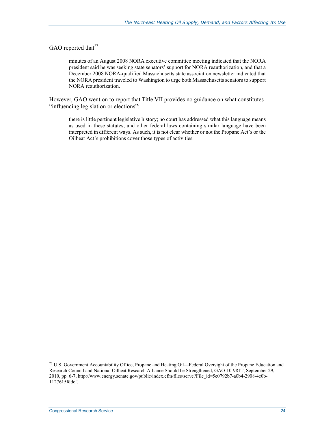#### GAO reported that $27$

minutes of an August 2008 NORA executive committee meeting indicated that the NORA president said he was seeking state senators' support for NORA reauthorization, and that a December 2008 NORA-qualified Massachusetts state association newsletter indicated that the NORA president traveled to Washington to urge both Massachusetts senators to support NORA reauthorization.

However, GAO went on to report that Title VII provides no guidance on what constitutes "influencing legislation or elections":

there is little pertinent legislative history; no court has addressed what this language means as used in these statutes; and other federal laws containing similar language have been interpreted in different ways. As such, it is not clear whether or not the Propane Act's or the Oilheat Act's prohibitions cover those types of activities.

<sup>&</sup>lt;sup>27</sup> U.S. Government Accountability Office, Propane and Heating Oil—Federal Oversight of the Propane Education and Research Council and National Oilheat Research Alliance Should be Strengthened, GAO-10-981T, September 29, 2010, pp. 6-7, http://www.energy.senate.gov/public/index.cfm/files/serve?File\_id=5e0792b7-a0b4-2908-4e0b-1127615fddcf.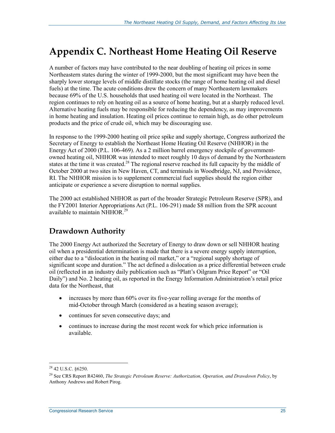## **Appendix C. Northeast Home Heating Oil Reserve**

A number of factors may have contributed to the near doubling of heating oil prices in some Northeastern states during the winter of 1999-2000, but the most significant may have been the sharply lower storage levels of middle distillate stocks (the range of home heating oil and diesel fuels) at the time. The acute conditions drew the concern of many Northeastern lawmakers because 69% of the U.S. households that used heating oil were located in the Northeast. The region continues to rely on heating oil as a source of home heating, but at a sharply reduced level. Alternative heating fuels may be responsible for reducing the dependency, as may improvements in home heating and insulation. Heating oil prices continue to remain high, as do other petroleum products and the price of crude oil, which may be discouraging use.

In response to the 1999-2000 heating oil price spike and supply shortage, Congress authorized the Secretary of Energy to establish the Northeast Home Heating Oil Reserve (NHHOR) in the Energy Act of 2000 (P.L. 106-469). As a 2 million barrel emergency stockpile of governmentowned heating oil, NHHOR was intended to meet roughly 10 days of demand by the Northeastern states at the time it was created.<sup>28</sup> The regional reserve reached its full capacity by the middle of October 2000 at two sites in New Haven, CT, and terminals in Woodbridge, NJ, and Providence, RI. The NHHOR mission is to supplement commercial fuel supplies should the region either anticipate or experience a severe disruption to normal supplies.

The 2000 act established NHHOR as part of the broader Strategic Petroleum Reserve (SPR), and the FY2001 Interior Appropriations Act (P.L. 106-291) made \$8 million from the SPR account available to maintain  $\overline{\text{NH}}$ OR.<sup>29</sup>

## **Drawdown Authority**

The 2000 Energy Act authorized the Secretary of Energy to draw down or sell NHHOR heating oil when a presidential determination is made that there is a severe energy supply interruption, either due to a "dislocation in the heating oil market," or a "regional supply shortage of significant scope and duration." The act defined a dislocation as a price differential between crude oil (reflected in an industry daily publication such as "Platt's Oilgram Price Report" or "Oil Daily") and No. 2 heating oil, as reported in the Energy Information Administration's retail price data for the Northeast, that

- increases by more than 60% over its five-year rolling average for the months of mid-October through March (considered as a heating season average);
- continues for seven consecutive days; and
- continues to increase during the most recent week for which price information is available.

<sup>&</sup>lt;sup>28</sup> 42 U.S.C. §6250.

<sup>29</sup> See CRS Report R42460, *The Strategic Petroleum Reserve: Authorization, Operation, and Drawdown Policy*, by Anthony Andrews and Robert Pirog.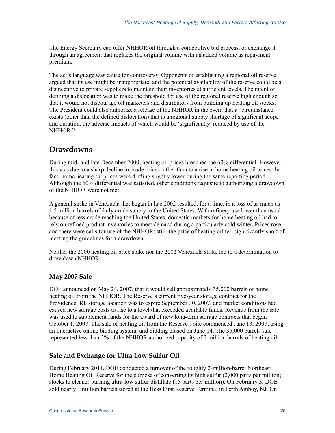The Energy Secretary can offer NHHOR oil through a competitive bid process, or exchange it through an agreement that replaces the original volume with an added volume as repayment premium.

The act's language was cause for controversy. Opponents of establishing a regional oil reserve argued that its use might be inappropriate, and the potential availability of the reserve could be a disincentive to private suppliers to maintain their inventories at sufficient levels. The intent of defining a dislocation was to make the threshold for use of the regional reserve high enough so that it would not discourage oil marketers and distributors from building up heating oil stocks. The President could also authorize a release of the NHHOR in the event that a "circumstance exists (other than the defined dislocation) that is a regional supply shortage of significant scope and duration, the adverse impacts of which would be 'significantly' reduced by use of the NHHOR<sup>"</sup>

### **Drawdowns**

During mid- and late December 2000, heating oil prices breached the 60% differential. However, this was due to a sharp decline in crude prices rather than to a rise in home heating oil prices. In fact, home heating oil prices were drifting slightly lower during the same reporting period. Although the 60% differential was satisfied, other conditions requisite to authorizing a drawdown of the NHHOR were not met.

A general strike in Venezuela that began in late 2002 resulted, for a time, in a loss of as much as 1.5 million barrels of daily crude supply to the United States. With refinery use lower than usual because of less crude reaching the United States, domestic markets for home heating oil had to rely on refined product inventories to meet demand during a particularly cold winter. Prices rose, and there were calls for use of the NHHOR; still, the price of heating oil fell significantly short of meeting the guidelines for a drawdown.

Neither the 2000 heating oil price spike nor the 2002 Venezuela strike led to a determination to draw down NHHOR.

#### **May 2007 Sale**

DOE announced on May 24, 2007, that it would sell approximately 35,000 barrels of home heating oil from the NHHOR. The Reserve's current five-year storage contract for the Providence, RI, storage location was to expire September 30, 2007, and market conditions had caused new storage costs to rise to a level that exceeded available funds. Revenue from the sale was used to supplement funds for the award of new long-term storage contracts that began October 1, 2007. The sale of heating oil from the Reserve's site commenced June 13, 2007, using an interactive online bidding system, and bidding closed on June 14. The 35,000 barrels sale represented less than 2% of the NHHOR authorized capacity of 2 million barrels of heating oil.

#### **Sale and Exchange for Ultra Low Sulfur Oil**

During February 2011, DOE conducted a turnover of the roughly 2-million-barrel Northeast Home Heating Oil Reserve for the purpose of converting its high sulfur (2,000 parts per million) stocks to cleaner-burning ultra-low sulfur distillate (15 parts per million). On February 3, DOE sold nearly 1 million barrels stored at the Hess First Reserve Terminal in Perth Amboy, NJ. On